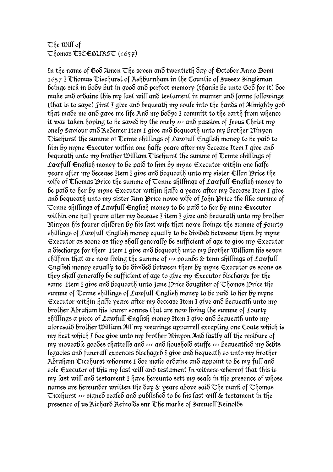## The Will of  $Thomas TICEBURST(1657)$

In the name of God Amen The seven and twentieth day of October Anno Domi 1657 I Thomas Tisehurst of Ashburnham in the Countie of Sussex Singleman beinge sick in body but in good and perfect memory (thanks be unto God for it) doe make and ordaine this my last will and testament in manner and forme followinge (that is to save) first I give and bequeath my soule into the hands of Almighty god that made me and gave me life And my bodye I committ to the earth from whence it was taken hoping to be saved by the onely --- and passion of Jesus Christ my onely Saviour and Redemer Item I give and bequeath unto my brother Ninyon Tisehurst the summe of Tenne shillings of Lawfull English money to be paid to him by myne Executor within one halfe yeare after my decease Item I give and bequeath unto my brother William Tisehurst the summe of Tenne shillings of Lawfull English money to be paid to him by myne Executor within one halfe veare after my Secease Item I give an $\delta$  bequeath unto my sister  $\epsilon$ llen Price the wife of Thomas Price the summe of Tenne shillings of Lawfull English money to be paid to her by myne Executor within halfe a yeare after my decease Item I give and bequeath unto my sister Ann Price nowe wife of John Price the like summe of Tenne shillings of Lawfull English money to be paid to her by mine Executor within one half yeare after my decease I item I give and bequeath unto my brother Ninyon his fourer children by his last wife that nowe livinge the summe of Fourty shillings of Lawfull English money equally to be divided betweene them by myne Executor as soone as they shall generally be sufficient of age to give my  $\epsilon$ xecutor a discharge for them Item I give and bequeath unto my brother William his seven chilfren that are now living the summe of  $\gg$  pounds & tenn shillings of Lawfull English money equally to be divided between them by myne Executor as soons as they shall generally be sufficient of age to give my  $\epsilon$ xecutor discharge for the same Item I give and bequeath unto Jane Price daughter of Thomas Price the summe of Tenne shillings of Lawfull English money to be paid to her by myne Executor within halfe yeare after my decease Item I give and bequeath unto my brother Abraham his fourer sonnes that are now living the summe of Fourty shillings a piece of Lawfull English money Item I give and bequeath unto my aforesaid brother William All my wearinge apparrell excepting one Coate which is my best which I doe give unto my brother Ninyon And lastly all the residure of my moveable goodes chattells and  $\sim$  and houshold stuffe  $\sim$  bequeathed my debts legacies and funerall expences dischaged I give and bequeath so unto my brother Abraham Cicehurst whomme I doe make ordaine and appoint to be my full and sole Executor of this my last will and testament In witness whereof that this is my last will and testament I have hereunto sett my seale in the presence of whose names are hereunder written the day & yeare above said  $\mathcal{L}$ he mark of  $\mathcal{L}$ homas Ticehurst  $\gg$  signed sealed and published to be his last will & testament in the presence of us Richard Reinolds snr The marke of Samuell Reinolds